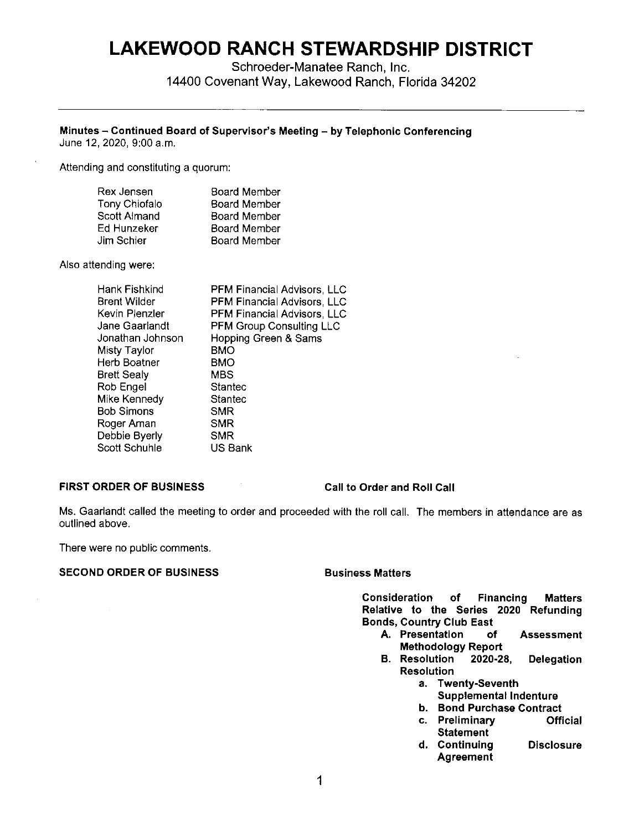# **LAKEWOOD RANCH STEWARDSHIP DISTRICT**

Schroeder-Manatee Ranch, Inc. 14400 Covenant Way, Lakewood Ranch, Florida 34202

#### **Minutes** - **Continued Board of Supervisor's Meeting** - **by Telephonic Conferencing**

June 12, 2020, 9:00 a.m.

Attending and constituting a quorum:

| Rex Jensen           | <b>Board Member</b> |
|----------------------|---------------------|
| <b>Tony Chiofalo</b> | <b>Board Member</b> |
| Scott Almand         | <b>Board Member</b> |
| Ed Hunzeker          | <b>Board Member</b> |
| Jim Schier           | <b>Board Member</b> |

Also attending were:

| Hank Fishkind<br>Brent Wilder | PFM Financial Advisors, LLC<br>PFM Financial Advisors, LLC |
|-------------------------------|------------------------------------------------------------|
| Kevin Plenzler                | PFM Financial Advisors, LLC                                |
| Jane Gaarlandt                | <b>PFM Group Consulting LLC</b>                            |
| Jonathan Johnson              | Hopping Green & Sams                                       |
| Misty Taylor                  | BMO                                                        |
| Herb Boatner                  | BMO                                                        |
| Brett Sealy                   | <b>MBS</b>                                                 |
| Rob Engel                     | Stantec                                                    |
| Mike Kennedy                  | Stantec                                                    |
| Bob Simons                    | SMR                                                        |
| Roger Aman                    | SMR                                                        |
| Debbie Byerly                 | SMR                                                        |
| Scott Schuhle                 | US Bank                                                    |

### **FIRST ORDER OF BUSINESS**

**Call to Order and Roll Call** 

Ms. Gaarlandt called the meeting to order and proceeded with the roll call. The members in attendance are as outlined above.

There were no public comments.

#### **SECOND ORDER OF BUSINESS BUSINESS Business Matters**

**Consideration of Financing Matters Relative to the Series 2020 Refunding Bonds, Country Club East** 

- **A. Presentation of Assessment Methodology Report**
- **B. Resolution 2020-28, Delegation Resolution** 
	- **a. Twenty-Seventh**
	- **Supplemental Indenture**
	- **b. Bond Purchase Contract**
	- **c. Preliminary Official Statement**
	- d. Continuing Disclosure Agreement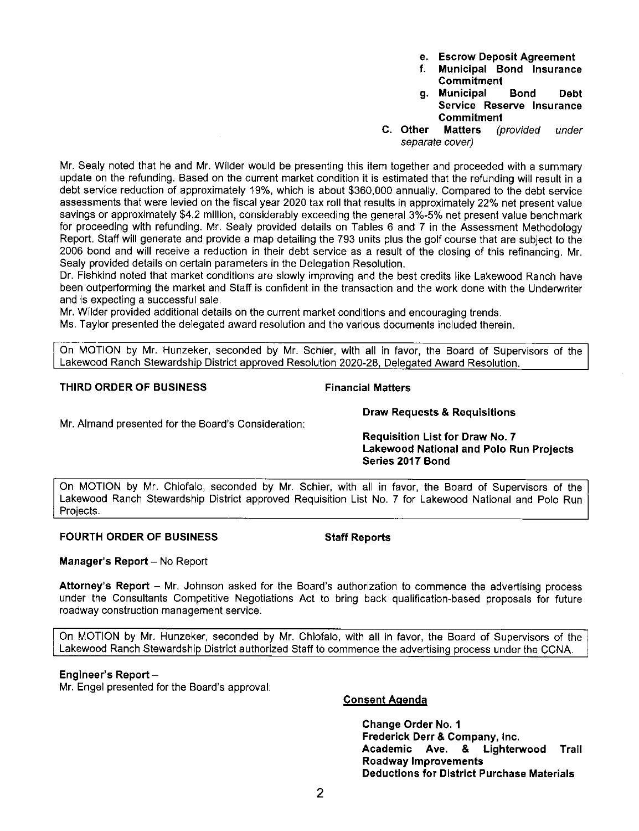Sealy provided details on certain parameters in the Delegation Resolution. Dr. Fishkind noted that market conditions are slowly improving and the best credits like Lakewood Ranch have

been outperforming the market and Staff is confident in the transaction and the work done with the Underwriter and is expecting a successful sale.

Mr. Sealy noted that he and Mr. Wilder would be presenting this item together and proceeded with a summary update on the refunding. Based on the current market condition it is estimated that the refunding will result in a debt service reduction of approximately 19%, which is about \$360,000 annually. Compared to the debt service assessments that were levied on the fiscal year 2020 tax roll that results in approximately 22% net present value savings or approximately \$4.2 million, considerably exceeding the general 3%-5% net present value benchmark for proceeding with refunding. Mr. Sealy provided details on Tables 6 and 7 in the Assessment Methodology Report. Staff **will** generate and provide a map detailing the 793 units plus the golf course that are subject to the 2006 bond and will receive a reduction in their debt service as a result of the closing of this refinancing. Mr.

Mr. Wilder provided additional details on the current market conditions and encouraging trends.

Ms. Taylor presented the delegated award resolution and the various documents included therein.

On MOTION by Mr. Hunzeker, seconded by Mr. Schier, with all in favor, the Board of Supervisors of the Lakewood Ranch Stewardship District approved Resolution 2020-28, Delegated Award Resolution.

## **THIRD ORDER OF BUSINESS Financial Matters**

Mr. Almand presented for the Board's Consideration:

# **Draw Requests & Requisitions**

**Requisition List for Draw No. 7 Lakewood National and Polo Run Projects Series 2017 Bond** 

On MOTION by Mr. Chiofalo, seconded by **Mr.** Schier, with all in favor, the Board of Supervisors of the Lakewood Ranch Stewardship District approved Requisition List No. 7 for Lakewood National and Polo Run Projects.

# **FOURTH ORDER OF BUSINESS Staff Reports**

**Manager's Report** - No Report

**Attorney's Report** - Mr. Johnson asked for the Board's authorization to commence the advertising process under the Consultants Competitive Negotiations Act to bring back qualification-based proposals for future roadway construction management service.

On MOTION by Mr. Hunzeker, seconded by Mr. Chiofalo, with all in favor, the Board of Supervisors of the Lakewood Ranch Stewardship District authorized Staff to commence the advertising process under the CCNA.

# **Engineer's Report** -

Mr. Engel presented for the Board's approval:

# **Consent Agenda**

**Change Order No. 1 Frederick Derr & Company, Inc. Academic Ave. & Lighterwood Trail Roadway Improvements Deductions for District Purchase Materials** 

- **e. Escrow Deposit Agreement**
- **f. Municipal Bond Insurance Commitment**
- **g. Municipal Bond Debt Service Reserve Insurance Commitment**
- **C. Other Matters** (provided under separate cover)